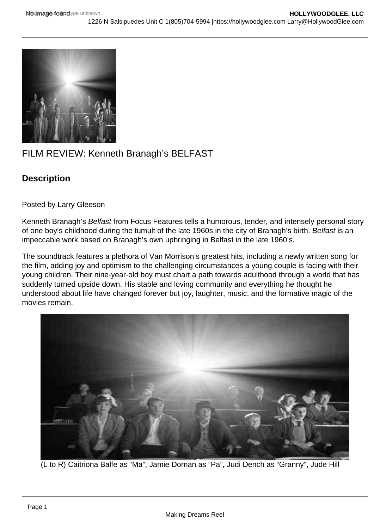## FILM REVIEW: Kenneth Branagh's BELFAST

**Description** 

Posted by Larry Gleeson

Kenneth Branagh's Belfast from Focus Features tells a humorous, tender, and intensely personal story of one boy's childhood during the tumult of the late 1960s in the city of Branagh's birth. Belfast is an impeccable work based on Branagh's own upbringing in Belfast in the late 1960's.

The soundtrack features a plethora of Van Morrison's greatest hits, including a newly written song for the film, adding joy and optimism to the challenging circumstances a young couple is facing with their young children. Their nine-year-old boy must chart a path towards adulthood through a world that has suddenly turned upside down. His stable and loving community and everything he thought he understood about life have changed forever but joy, laughter, music, and the formative magic of the movies remain.

(L to R) Caitriona Balfe as "Ma", Jamie Dornan as "Pa", Judi Dench as "Granny", Jude Hill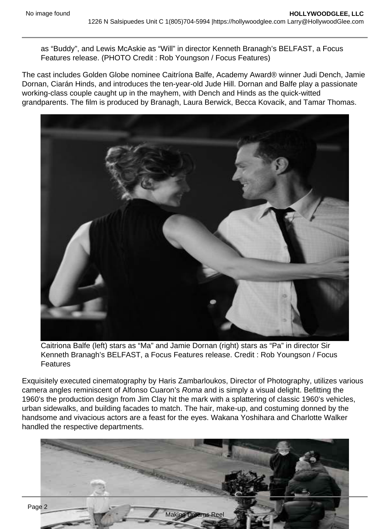as "Buddy", and Lewis McAskie as "Will" in director Kenneth Branagh's BELFAST, a Focus Features release. (PHOTO Credit : Rob Youngson / Focus Features)

The cast includes Golden Globe nominee Caitríona Balfe, Academy Award® winner Judi Dench, Jamie Dornan, Ciarán Hinds, and introduces the ten-year-old Jude Hill. Dornan and Balfe play a passionate working-class couple caught up in the mayhem, with Dench and Hinds as the quick-witted grandparents. The film is produced by Branagh, Laura Berwick, Becca Kovacik, and Tamar Thomas.

Caitriona Balfe (left) stars as "Ma" and Jamie Dornan (right) stars as "Pa" in director Sir Kenneth Branagh's BELFAST, a Focus Features release. Credit : Rob Youngson / Focus Features

Exquisitely executed cinematography by Haris Zambarloukos, Director of Photography, utilizes various camera angles reminiscent of Alfonso Cuaron's Roma and is simply a visual delight. Befitting the 1960's the production design from Jim Clay hit the mark with a splattering of classic 1960's vehicles, urban sidewalks, and building facades to match. The hair, make-up, and costuming donned by the handsome and vivacious actors are a feast for the eyes. Wakana Yoshihara and Charlotte Walker handled the respective departments.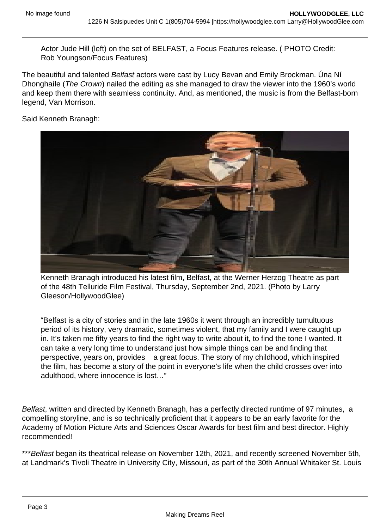Actor Jude Hill (left) on the set of BELFAST, a Focus Features release. ( PHOTO Credit: Rob Youngson/Focus Features)

The beautiful and talented Belfast actors were cast by Lucy Bevan and Emily Brockman. Úna Ní Dhonghaíle (The Crown) nailed the editing as she managed to draw the viewer into the 1960's world and keep them there with seamless continuity. And, as mentioned, the music is from the Belfast-born legend, Van Morrison.

Said Kenneth Branagh:

Kenneth Branagh introduced his latest film, Belfast, at the Werner Herzog Theatre as part of the 48th Telluride Film Festival, Thursday, September 2nd, 2021. (Photo by Larry Gleeson/HollywoodGlee)

"Belfast is a city of stories and in the late 1960s it went through an incredibly tumultuous period of its history, very dramatic, sometimes violent, that my family and I were caught up in. It's taken me fifty years to find the right way to write about it, to find the tone I wanted. It can take a very long time to understand just how simple things can be and finding that perspective, years on, provides a great focus. The story of my childhood, which inspired the film, has become a story of the point in everyone's life when the child crosses over into adulthood, where innocence is lost…"

Belfast, written and directed by Kenneth Branagh, has a perfectly directed runtime of 97 minutes, a compelling storyline, and is so technically proficient that it appears to be an early favorite for the Academy of Motion Picture Arts and Sciences Oscar Awards for best film and best director. Highly recommended!

\*\*\*Belfast began its theatrical release on November 12th, 2021, and recently screened November 5th, at Landmark's Tivoli Theatre in University City, Missouri, as part of the 30th Annual Whitaker St. Louis